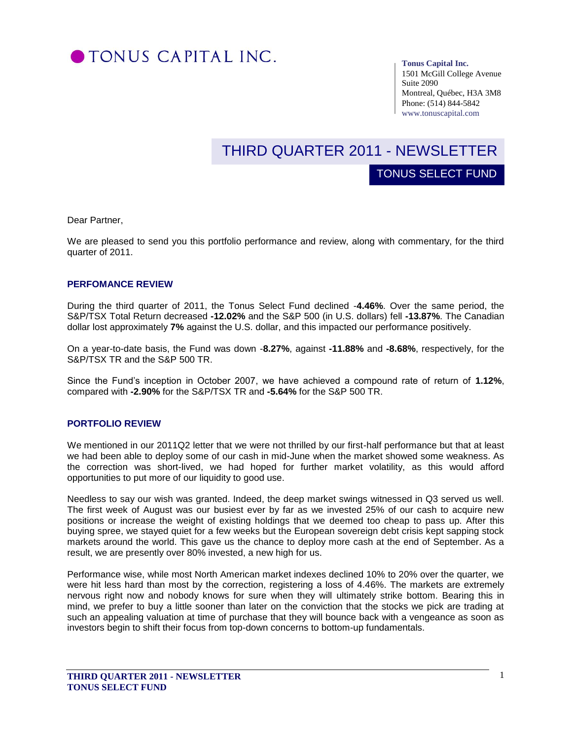

#### **Tonus Capital Inc.**

TONUS SELECT FUND

1501 McGill College Avenue Suite 2090 Montreal, Québec, H3A 3M8 Phone: (514) 844-5842 www.tonuscapital.com

# THIRD QUARTER 2011 - NEWSLETTER

Dear Partner,

We are pleased to send you this portfolio performance and review, along with commentary, for the third quarter of 2011.

#### **PERFOMANCE REVIEW**

During the third quarter of 2011, the Tonus Select Fund declined -**4.46%**. Over the same period, the S&P/TSX Total Return decreased **-12.02%** and the S&P 500 (in U.S. dollars) fell **-13.87%**. The Canadian dollar lost approximately **7%** against the U.S. dollar, and this impacted our performance positively.

On a year-to-date basis, the Fund was down -**8.27%**, against **-11.88%** and **-8.68%**, respectively, for the S&P/TSX TR and the S&P 500 TR.

Since the Fund's inception in October 2007, we have achieved a compound rate of return of 1.12%, compared with **-2.90%** for the S&P/TSX TR and **-5.64%** for the S&P 500 TR.

#### **PORTFOLIO REVIEW**

We mentioned in our 2011Q2 letter that we were not thrilled by our first-half performance but that at least we had been able to deploy some of our cash in mid-June when the market showed some weakness. As the correction was short-lived, we had hoped for further market volatility, as this would afford opportunities to put more of our liquidity to good use.

Needless to say our wish was granted. Indeed, the deep market swings witnessed in Q3 served us well. The first week of August was our busiest ever by far as we invested 25% of our cash to acquire new positions or increase the weight of existing holdings that we deemed too cheap to pass up. After this buying spree, we stayed quiet for a few weeks but the European sovereign debt crisis kept sapping stock markets around the world. This gave us the chance to deploy more cash at the end of September. As a result, we are presently over 80% invested, a new high for us.

Performance wise, while most North American market indexes declined 10% to 20% over the quarter, we were hit less hard than most by the correction, registering a loss of 4.46%. The markets are extremely nervous right now and nobody knows for sure when they will ultimately strike bottom. Bearing this in mind, we prefer to buy a little sooner than later on the conviction that the stocks we pick are trading at such an appealing valuation at time of purchase that they will bounce back with a vengeance as soon as investors begin to shift their focus from top-down concerns to bottom-up fundamentals.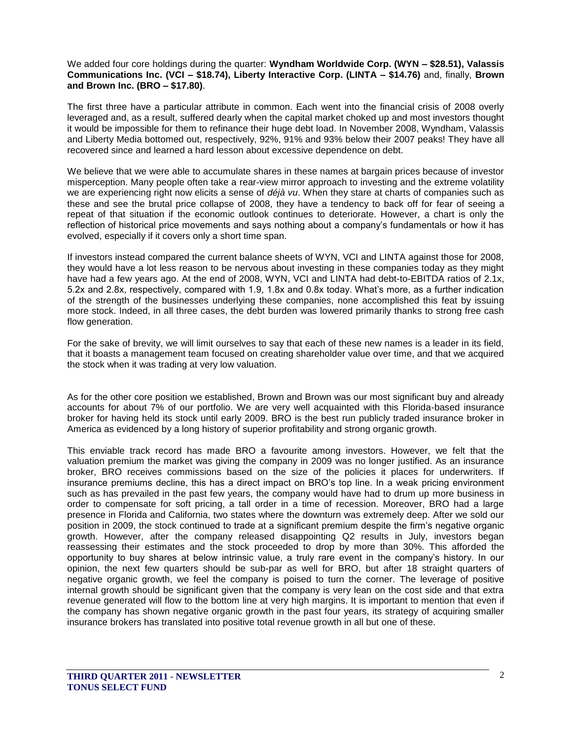## We added four core holdings during the quarter: **Wyndham Worldwide Corp. (WYN – \$28.51), Valassis Communications Inc. (VCI – \$18.74), Liberty Interactive Corp. (LINTA – \$14.76)** and, finally, **Brown and Brown Inc. (BRO – \$17.80)**.

The first three have a particular attribute in common. Each went into the financial crisis of 2008 overly leveraged and, as a result, suffered dearly when the capital market choked up and most investors thought it would be impossible for them to refinance their huge debt load. In November 2008, Wyndham, Valassis and Liberty Media bottomed out, respectively, 92%, 91% and 93% below their 2007 peaks! They have all recovered since and learned a hard lesson about excessive dependence on debt.

We believe that we were able to accumulate shares in these names at bargain prices because of investor misperception. Many people often take a rear-view mirror approach to investing and the extreme volatility we are experiencing right now elicits a sense of *déjà vu*. When they stare at charts of companies such as these and see the brutal price collapse of 2008, they have a tendency to back off for fear of seeing a repeat of that situation if the economic outlook continues to deteriorate. However, a chart is only the reflection of historical price movements and says nothing about a company's fundamentals or how it has evolved, especially if it covers only a short time span.

If investors instead compared the current balance sheets of WYN, VCI and LINTA against those for 2008, they would have a lot less reason to be nervous about investing in these companies today as they might have had a few years ago. At the end of 2008, WYN, VCI and LINTA had debt-to-EBITDA ratios of 2.1x, 5.2x and 2.8x, respectively, compared with 1.9, 1.8x and 0.8x today. What's more, as a further indication of the strength of the businesses underlying these companies, none accomplished this feat by issuing more stock. Indeed, in all three cases, the debt burden was lowered primarily thanks to strong free cash flow generation.

For the sake of brevity, we will limit ourselves to say that each of these new names is a leader in its field, that it boasts a management team focused on creating shareholder value over time, and that we acquired the stock when it was trading at very low valuation.

As for the other core position we established, Brown and Brown was our most significant buy and already accounts for about 7% of our portfolio. We are very well acquainted with this Florida-based insurance broker for having held its stock until early 2009. BRO is the best run publicly traded insurance broker in America as evidenced by a long history of superior profitability and strong organic growth.

This enviable track record has made BRO a favourite among investors. However, we felt that the valuation premium the market was giving the company in 2009 was no longer justified. As an insurance broker, BRO receives commissions based on the size of the policies it places for underwriters. If insurance premiums decline, this has a direct impact on BRO's top line. In a weak pricing environment such as has prevailed in the past few years, the company would have had to drum up more business in order to compensate for soft pricing, a tall order in a time of recession. Moreover, BRO had a large presence in Florida and California, two states where the downturn was extremely deep. After we sold our position in 2009, the stock continued to trade at a significant premium despite the firm's negative organic growth. However, after the company released disappointing Q2 results in July, investors began reassessing their estimates and the stock proceeded to drop by more than 30%. This afforded the opportunity to buy shares at below intrinsic value, a truly rare event in the company's history. In our opinion, the next few quarters should be sub-par as well for BRO, but after 18 straight quarters of negative organic growth, we feel the company is poised to turn the corner. The leverage of positive internal growth should be significant given that the company is very lean on the cost side and that extra revenue generated will flow to the bottom line at very high margins. It is important to mention that even if the company has shown negative organic growth in the past four years, its strategy of acquiring smaller insurance brokers has translated into positive total revenue growth in all but one of these.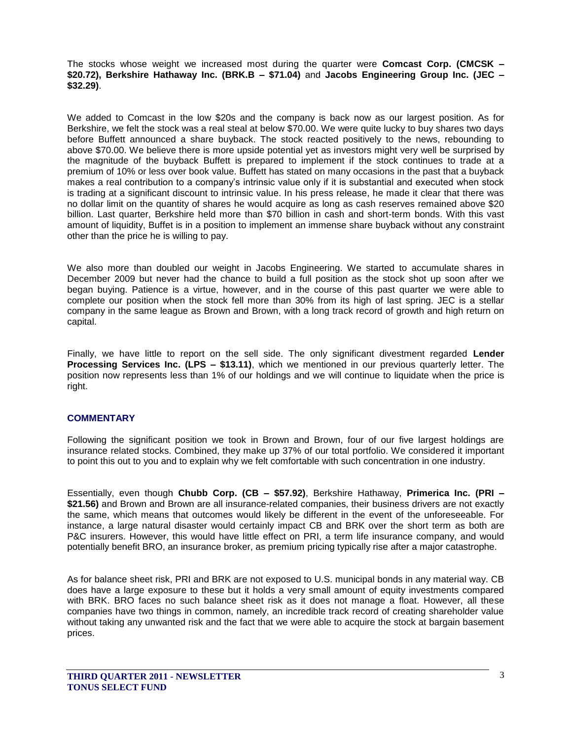The stocks whose weight we increased most during the quarter were **Comcast Corp. (CMCSK – \$20.72), Berkshire Hathaway Inc. (BRK.B – \$71.04)** and **Jacobs Engineering Group Inc. (JEC – \$32.29)**.

We added to Comcast in the low \$20s and the company is back now as our largest position. As for Berkshire, we felt the stock was a real steal at below \$70.00. We were quite lucky to buy shares two days before Buffett announced a share buyback. The stock reacted positively to the news, rebounding to above \$70.00. We believe there is more upside potential yet as investors might very well be surprised by the magnitude of the buyback Buffett is prepared to implement if the stock continues to trade at a premium of 10% or less over book value. Buffett has stated on many occasions in the past that a buyback makes a real contribution to a company's intrinsic value only if it is substantial and executed when stock is trading at a significant discount to intrinsic value. In his press release, he made it clear that there was no dollar limit on the quantity of shares he would acquire as long as cash reserves remained above \$20 billion. Last quarter, Berkshire held more than \$70 billion in cash and short-term bonds. With this vast amount of liquidity, Buffet is in a position to implement an immense share buyback without any constraint other than the price he is willing to pay.

We also more than doubled our weight in Jacobs Engineering. We started to accumulate shares in December 2009 but never had the chance to build a full position as the stock shot up soon after we began buying. Patience is a virtue, however, and in the course of this past quarter we were able to complete our position when the stock fell more than 30% from its high of last spring. JEC is a stellar company in the same league as Brown and Brown, with a long track record of growth and high return on capital.

Finally, we have little to report on the sell side. The only significant divestment regarded **Lender Processing Services Inc. (LPS – \$13.11)**, which we mentioned in our previous quarterly letter. The position now represents less than 1% of our holdings and we will continue to liquidate when the price is right.

## **COMMENTARY**

Following the significant position we took in Brown and Brown, four of our five largest holdings are insurance related stocks. Combined, they make up 37% of our total portfolio. We considered it important to point this out to you and to explain why we felt comfortable with such concentration in one industry.

Essentially, even though **Chubb Corp. (CB – \$57.92)**, Berkshire Hathaway, **Primerica Inc. (PRI – \$21.56)** and Brown and Brown are all insurance-related companies, their business drivers are not exactly the same, which means that outcomes would likely be different in the event of the unforeseeable. For instance, a large natural disaster would certainly impact CB and BRK over the short term as both are P&C insurers. However, this would have little effect on PRI, a term life insurance company, and would potentially benefit BRO, an insurance broker, as premium pricing typically rise after a major catastrophe.

As for balance sheet risk, PRI and BRK are not exposed to U.S. municipal bonds in any material way. CB does have a large exposure to these but it holds a very small amount of equity investments compared with BRK. BRO faces no such balance sheet risk as it does not manage a float. However, all these companies have two things in common, namely, an incredible track record of creating shareholder value without taking any unwanted risk and the fact that we were able to acquire the stock at bargain basement prices.